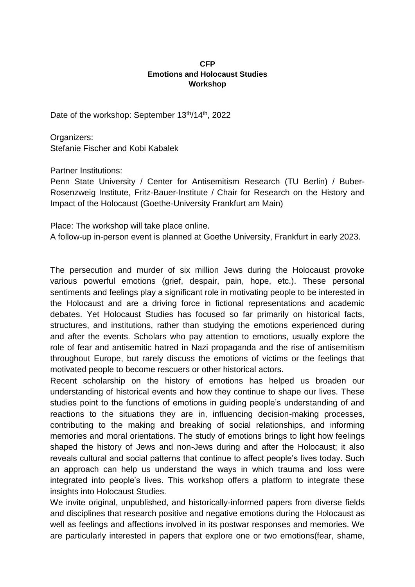## **CFP Emotions and Holocaust Studies Workshop**

Date of the workshop: September 13<sup>th</sup>/14<sup>th</sup>, 2022

Organizers: Stefanie Fischer and Kobi Kabalek

Partner Institutions:

Penn State University / Center for Antisemitism Research (TU Berlin) / Buber-Rosenzweig Institute, Fritz-Bauer-Institute / Chair for Research on the History and Impact of the Holocaust (Goethe-University Frankfurt am Main)

Place: The workshop will take place online. A follow-up in-person event is planned at Goethe University, Frankfurt in early 2023.

The persecution and murder of six million Jews during the Holocaust provoke various powerful emotions (grief, despair, pain, hope, etc.). These personal sentiments and feelings play a significant role in motivating people to be interested in the Holocaust and are a driving force in fictional representations and academic debates. Yet Holocaust Studies has focused so far primarily on historical facts, structures, and institutions, rather than studying the emotions experienced during and after the events. Scholars who pay attention to emotions, usually explore the role of fear and antisemitic hatred in Nazi propaganda and the rise of antisemitism throughout Europe, but rarely discuss the emotions of victims or the feelings that motivated people to become rescuers or other historical actors.

Recent scholarship on the history of emotions has helped us broaden our understanding of historical events and how they continue to shape our lives. These studies point to the functions of emotions in guiding people's understanding of and reactions to the situations they are in, influencing decision-making processes, contributing to the making and breaking of social relationships, and informing memories and moral orientations. The study of emotions brings to light how feelings shaped the history of Jews and non-Jews during and after the Holocaust; it also reveals cultural and social patterns that continue to affect people's lives today. Such an approach can help us understand the ways in which trauma and loss were integrated into people's lives. This workshop offers a platform to integrate these insights into Holocaust Studies.

We invite original, unpublished, and historically-informed papers from diverse fields and disciplines that research positive and negative emotions during the Holocaust as well as feelings and affections involved in its postwar responses and memories. We are particularly interested in papers that explore one or two emotions(fear, shame,